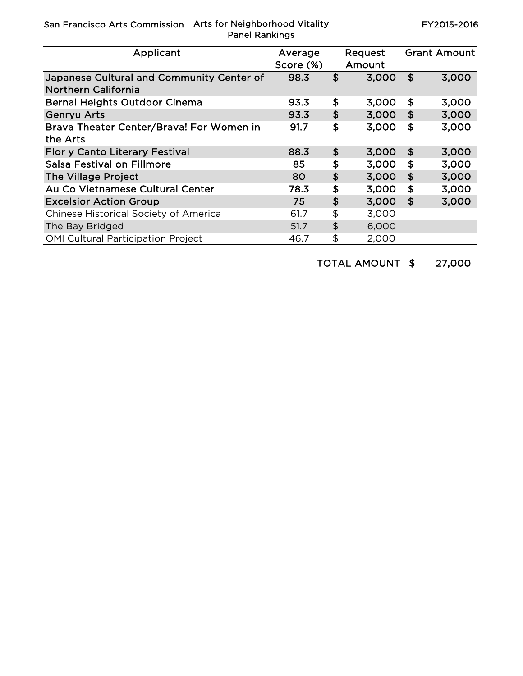San Francisco Arts Commission Arts for Neighborhood Vitality Panel Rankings

FY2015-2016

| Applicant                                                               | Average<br>Score (%) |               | Request<br>Amount |                           | <b>Grant Amount</b> |
|-------------------------------------------------------------------------|----------------------|---------------|-------------------|---------------------------|---------------------|
| Japanese Cultural and Community Center of<br><b>Northern California</b> | 98.3                 | \$            | 3,000             | \$                        | 3,000               |
| <b>Bernal Heights Outdoor Cinema</b>                                    | 93.3                 | \$            | 3,000             | \$                        | 3,000               |
| <b>Genryu Arts</b>                                                      | 93.3                 | \$            | 3,000             | $\mathbf{f}$              | 3,000               |
| Brava Theater Center/Brava! For Women in<br>the Arts                    | 91.7                 | \$            | 3,000             | \$                        | 3,000               |
| Flor y Canto Literary Festival                                          | 88.3                 | \$            | 3,000             | $\mathbf s$               | 3,000               |
| <b>Salsa Festival on Fillmore</b>                                       | 85                   | \$            | 3,000             | \$                        | 3,000               |
| The Village Project                                                     | 80                   | \$            | 3,000             | \$                        | 3,000               |
| Au Co Vietnamese Cultural Center                                        | 78.3                 | \$            | 3,000             | \$                        | 3,000               |
| <b>Excelsior Action Group</b>                                           | 75                   | \$            | 3,000             | $\boldsymbol{\mathsf{s}}$ | 3,000               |
| Chinese Historical Society of America                                   | 61.7                 | \$            | 3,000             |                           |                     |
| The Bay Bridged                                                         | 51.7                 | $\frac{1}{2}$ | 6,000             |                           |                     |
| <b>OMI Cultural Participation Project</b>                               | 46.7                 | \$            | 2,000             |                           |                     |

TOTAL AMOUNT \$ 27,000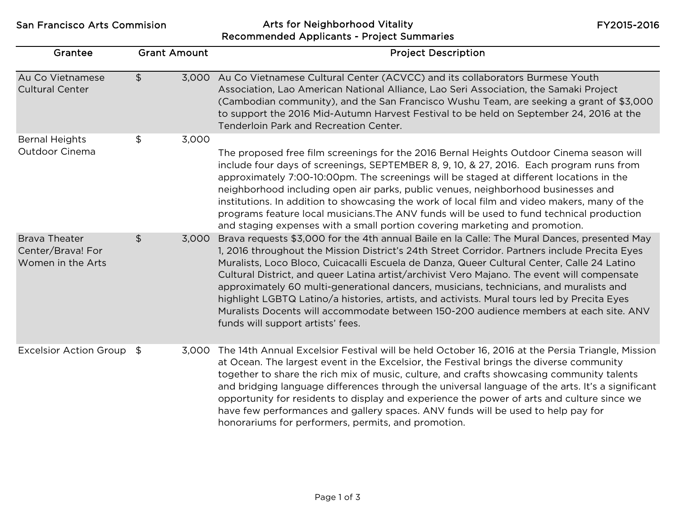San Francisco Arts Commision **Arts for Neighborhood Vitality** Recommended Applicants - Project Summaries

FY2015-2016

| Grantee                                                        | <b>Grant Amount</b>    | <b>Project Description</b>                                                                                                                                                                                                                                                                                                                                                                                                                                                                                                                                                                                                                                                                                        |
|----------------------------------------------------------------|------------------------|-------------------------------------------------------------------------------------------------------------------------------------------------------------------------------------------------------------------------------------------------------------------------------------------------------------------------------------------------------------------------------------------------------------------------------------------------------------------------------------------------------------------------------------------------------------------------------------------------------------------------------------------------------------------------------------------------------------------|
| Au Co Vietnamese<br><b>Cultural Center</b>                     | $\frac{1}{2}$          | 3,000 Au Co Vietnamese Cultural Center (ACVCC) and its collaborators Burmese Youth<br>Association, Lao American National Alliance, Lao Seri Association, the Samaki Project<br>(Cambodian community), and the San Francisco Wushu Team, are seeking a grant of \$3,000<br>to support the 2016 Mid-Autumn Harvest Festival to be held on September 24, 2016 at the<br>Tenderloin Park and Recreation Center.                                                                                                                                                                                                                                                                                                       |
| <b>Bernal Heights</b><br>Outdoor Cinema                        | \$<br>3,000            | The proposed free film screenings for the 2016 Bernal Heights Outdoor Cinema season will<br>include four days of screenings, SEPTEMBER 8, 9, 10, & 27, 2016. Each program runs from<br>approximately 7:00-10:00pm. The screenings will be staged at different locations in the<br>neighborhood including open air parks, public venues, neighborhood businesses and<br>institutions. In addition to showcasing the work of local film and video makers, many of the<br>programs feature local musicians. The ANV funds will be used to fund technical production<br>and staging expenses with a small portion covering marketing and promotion.                                                                   |
| <b>Brava Theater</b><br>Center/Brava! For<br>Women in the Arts | $\frac{1}{2}$<br>3,000 | Brava requests \$3,000 for the 4th annual Baile en la Calle: The Mural Dances, presented May<br>1, 2016 throughout the Mission District's 24th Street Corridor. Partners include Precita Eyes<br>Muralists, Loco Bloco, Cuicacalli Escuela de Danza, Queer Cultural Center, Calle 24 Latino<br>Cultural District, and queer Latina artist/archivist Vero Majano. The event will compensate<br>approximately 60 multi-generational dancers, musicians, technicians, and muralists and<br>highlight LGBTQ Latino/a histories, artists, and activists. Mural tours led by Precita Eyes<br>Muralists Docents will accommodate between 150-200 audience members at each site. ANV<br>funds will support artists' fees. |
| Excelsior Action Group \$                                      |                        | 3,000 The 14th Annual Excelsior Festival will be held October 16, 2016 at the Persia Triangle, Mission<br>at Ocean. The largest event in the Excelsior, the Festival brings the diverse community<br>together to share the rich mix of music, culture, and crafts showcasing community talents<br>and bridging language differences through the universal language of the arts. It's a significant<br>opportunity for residents to display and experience the power of arts and culture since we<br>have few performances and gallery spaces. ANV funds will be used to help pay for<br>honorariums for performers, permits, and promotion.                                                                       |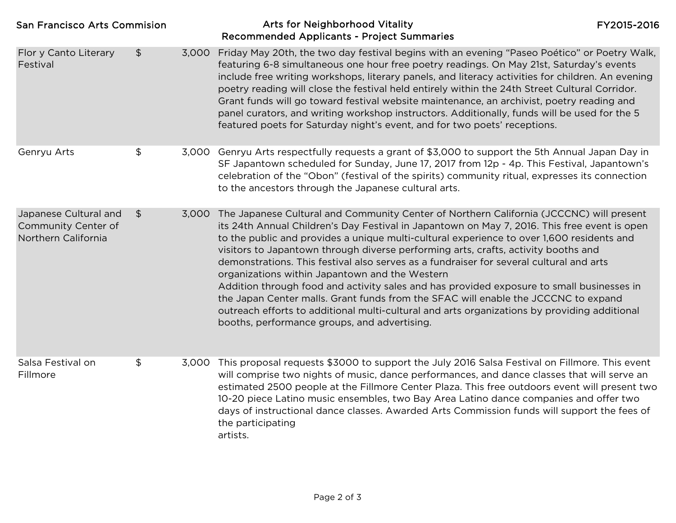| <b>San Francisco Arts Commision</b>                                 |               | Arts for Neighborhood Vitality<br><b>Recommended Applicants - Project Summaries</b>                                                                                                                                                                                                                                                                                                                                                                                                                                                                                                                                                                                                                                                                                                                                                                              | FY2015-2016 |
|---------------------------------------------------------------------|---------------|------------------------------------------------------------------------------------------------------------------------------------------------------------------------------------------------------------------------------------------------------------------------------------------------------------------------------------------------------------------------------------------------------------------------------------------------------------------------------------------------------------------------------------------------------------------------------------------------------------------------------------------------------------------------------------------------------------------------------------------------------------------------------------------------------------------------------------------------------------------|-------------|
| Flor y Canto Literary<br>Festival                                   | \$<br>3,000   | Friday May 20th, the two day festival begins with an evening "Paseo Poético" or Poetry Walk,<br>featuring 6-8 simultaneous one hour free poetry readings. On May 21st, Saturday's events<br>include free writing workshops, literary panels, and literacy activities for children. An evening<br>poetry reading will close the festival held entirely within the 24th Street Cultural Corridor.<br>Grant funds will go toward festival website maintenance, an archivist, poetry reading and<br>panel curators, and writing workshop instructors. Additionally, funds will be used for the 5<br>featured poets for Saturday night's event, and for two poets' receptions.                                                                                                                                                                                        |             |
| Genryu Arts                                                         | \$            | 3,000 Genryu Arts respectfully requests a grant of \$3,000 to support the 5th Annual Japan Day in<br>SF Japantown scheduled for Sunday, June 17, 2017 from 12p - 4p. This Festival, Japantown's<br>celebration of the "Obon" (festival of the spirits) community ritual, expresses its connection<br>to the ancestors through the Japanese cultural arts.                                                                                                                                                                                                                                                                                                                                                                                                                                                                                                        |             |
| Japanese Cultural and<br>Community Center of<br>Northern California | $\frac{1}{2}$ | 3,000 The Japanese Cultural and Community Center of Northern California (JCCCNC) will present<br>its 24th Annual Children's Day Festival in Japantown on May 7, 2016. This free event is open<br>to the public and provides a unique multi-cultural experience to over 1,600 residents and<br>visitors to Japantown through diverse performing arts, crafts, activity booths and<br>demonstrations. This festival also serves as a fundraiser for several cultural and arts<br>organizations within Japantown and the Western<br>Addition through food and activity sales and has provided exposure to small businesses in<br>the Japan Center malls. Grant funds from the SFAC will enable the JCCCNC to expand<br>outreach efforts to additional multi-cultural and arts organizations by providing additional<br>booths, performance groups, and advertising. |             |
| Salsa Festival on<br>Fillmore                                       | \$            | 3,000 This proposal requests \$3000 to support the July 2016 Salsa Festival on Fillmore. This event<br>will comprise two nights of music, dance performances, and dance classes that will serve an<br>estimated 2500 people at the Fillmore Center Plaza. This free outdoors event will present two<br>10-20 piece Latino music ensembles, two Bay Area Latino dance companies and offer two<br>days of instructional dance classes. Awarded Arts Commission funds will support the fees of<br>the participating<br>artists.                                                                                                                                                                                                                                                                                                                                     |             |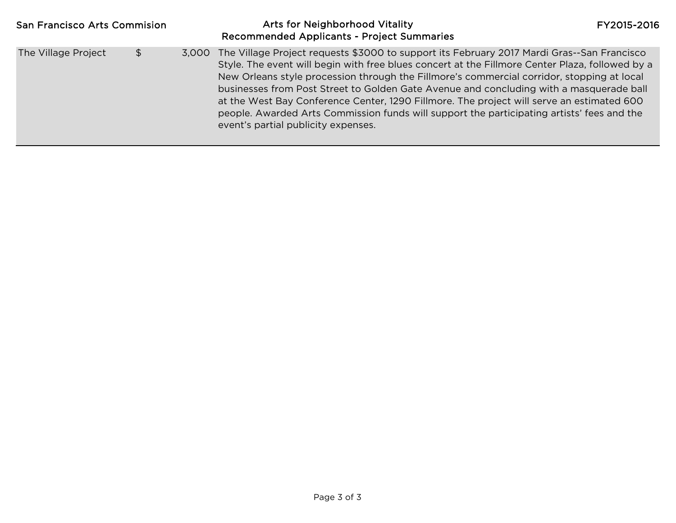| <b>San Francisco Arts Commision</b> |    | Arts for Neighborhood Vitality<br><b>Recommended Applicants - Project Summaries</b>                                                                                                                                                                                                                                                                                                                                                                                                                                                                                                                                            | FY2015-2016 |
|-------------------------------------|----|--------------------------------------------------------------------------------------------------------------------------------------------------------------------------------------------------------------------------------------------------------------------------------------------------------------------------------------------------------------------------------------------------------------------------------------------------------------------------------------------------------------------------------------------------------------------------------------------------------------------------------|-------------|
| The Village Project                 | \$ | 3,000 The Village Project requests \$3000 to support its February 2017 Mardi Gras--San Francisco<br>Style. The event will begin with free blues concert at the Fillmore Center Plaza, followed by a<br>New Orleans style procession through the Fillmore's commercial corridor, stopping at local<br>businesses from Post Street to Golden Gate Avenue and concluding with a masquerade ball<br>at the West Bay Conference Center, 1290 Fillmore. The project will serve an estimated 600<br>people. Awarded Arts Commission funds will support the participating artists' fees and the<br>event's partial publicity expenses. |             |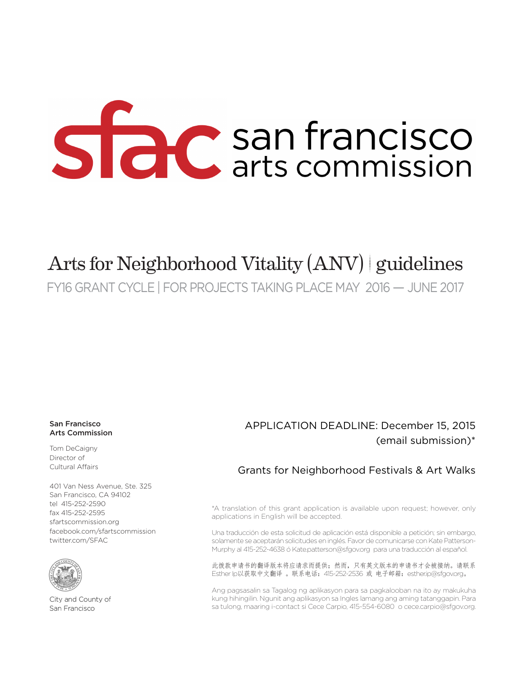# Side C san francisco

# Arts for Neighborhood Vitality (ANV) | guidelines

FY16 GRANT CYCLE | FOR PROJECTS TAKING PLACE MAY 2016 — JUNE 2017

#### San Francisco Arts Commission

Tom DeCaigny Director of Cultural Affairs

401 Van Ness Avenue, Ste. 325 San Francisco, CA 94102 tel 415-252-2590 fax 415-252-2595 Community Arts & Education Programs: care are are extractively. facebook.com/sfartscommission Public Art Civic Design Review twitter.com/SFAC SFAC Galleries Community Arts & Education children Equipment Control Equipment Control Control Control Control Control Control Control Control Control Co



City and County of San Francisco

## APPLICATION DEADLINE: December 15, 2015 (email submission)\*

## Grants for Neighborhood Festivals & Art Walks

\*A translation of this grant application is available upon request; however, only applications in English will be accepted.

Una traducción de esta solicitud de aplicación está disponible a petición; sin embargo, solamente se aceptarán solicitudes en inglés. Favor de comunicarse con Kate Patterson-Murphy al 415-252-4638 ó Kate.patterson@sfgov.org para una traducción al español.

此拨款申请书的翻译版本将应请求而提供;然而,只有英文版本的申请书才会被接纳。请联系 Esther lp以获取中文翻译 。联系电话: 415-252-2536 或 电子邮箱: esther.ip@sfgov.org。

Ang pagsasalin sa Tagalog ng aplikasyon para sa pagkalooban na ito ay makukuha kung hihingilin. Ngunit ang aplikasyon sa Ingles lamang ang aming tatanggapin. Para sa tulong, maaring i-contact si Cece Carpio, 415-554-6080 o cece.carpio@sfgov.org.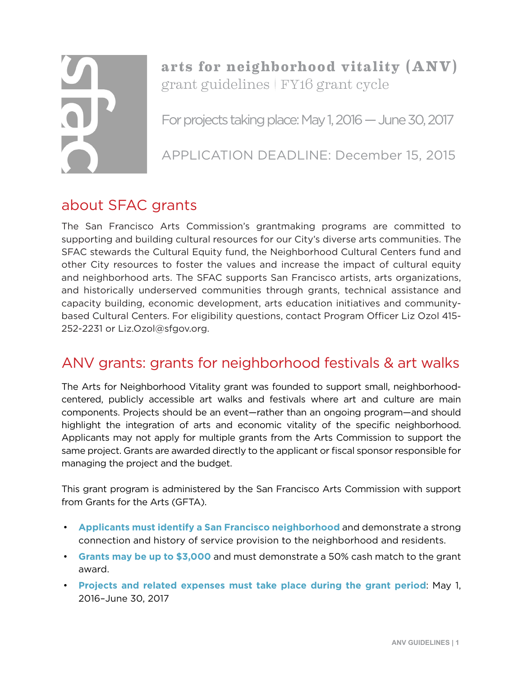**arts for neighborhood vitality (ANV)** grant guidelines | FY16 grant cycle

For projects taking place: May 1, 2016 — June 30, 2017

APPLICATION DEADLINE: December 15, 2015

## about SFAC grants

The San Francisco Arts Commission's grantmaking programs are committed to supporting and building cultural resources for our City's diverse arts communities. The SFAC stewards the Cultural Equity fund, the Neighborhood Cultural Centers fund and other City resources to foster the values and increase the impact of cultural equity and neighborhood arts. The SFAC supports San Francisco artists, arts organizations, and historically underserved communities through grants, technical assistance and capacity building, economic development, arts education initiatives and communitybased Cultural Centers. For eligibility questions, contact Program Officer Liz Ozol 415- 252-2231 or Liz.Ozol@sfgov.org.

## ANV grants: grants for neighborhood festivals & art walks

The Arts for Neighborhood Vitality grant was founded to support small, neighborhoodcentered, publicly accessible art walks and festivals where art and culture are main components. Projects should be an event—rather than an ongoing program—and should highlight the integration of arts and economic vitality of the specific neighborhood. Applicants may not apply for multiple grants from the Arts Commission to support the same project. Grants are awarded directly to the applicant or fiscal sponsor responsible for managing the project and the budget.

This grant program is administered by the San Francisco Arts Commission with support from Grants for the Arts (GFTA).

- **Applicants must identify a San Francisco neighborhood** and demonstrate a strong connection and history of service provision to the neighborhood and residents.
- **Grants may be up to \$3,000** and must demonstrate a 50% cash match to the grant award.
- **Projects and related expenses must take place during the grant period**: May 1, 2016–June 30, 2017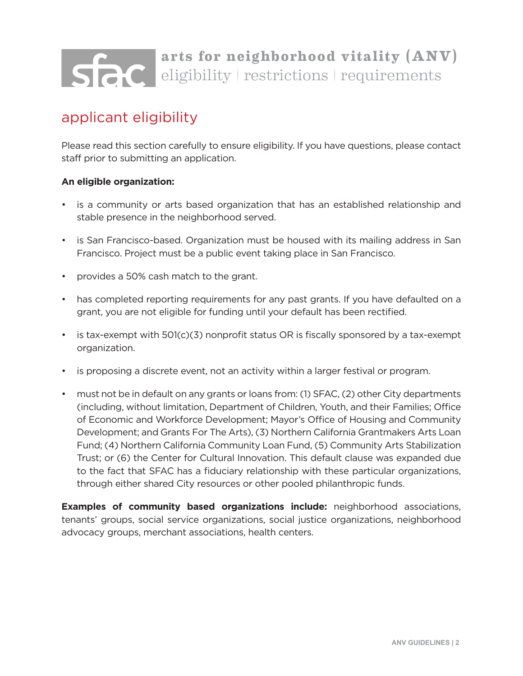# **arts for neighborhood vitality (ANV)** eligibility | restrictions | requirements

## applicant eligibility

Please read this section carefully to ensure eligibility. If you have questions, please contact staff prior to submitting an application.

## **An eligible organization:**

- is a community or arts based organization that has an established relationship and stable presence in the neighborhood served.
- is San Francisco-based. Organization must be housed with its mailing address in San Francisco. Project must be a public event taking place in San Francisco.
- provides a 50% cash match to the grant.
- has completed reporting requirements for any past grants. If you have defaulted on a grant, you are not eligible for funding until your default has been rectified.
- is tax-exempt with 501(c)(3) nonprofit status OR is fiscally sponsored by a tax-exempt organization.
- is proposing a discrete event, not an activity within a larger festival or program.
- must not be in default on any grants or loans from: (1) SFAC, (2) other City departments (including, without limitation, Department of Children, Youth, and their Families; Office of Economic and Workforce Development; Mayor's Office of Housing and Community Development; and Grants For The Arts), (3) Northern California Grantmakers Arts Loan Fund; (4) Northern California Community Loan Fund, (5) Community Arts Stabilization Trust; or (6) the Center for Cultural Innovation. This default clause was expanded due to the fact that SFAC has a fiduciary relationship with these particular organizations, through either shared City resources or other pooled philanthropic funds.

**Examples of community based organizations include:** neighborhood associations, tenants' groups, social service organizations, social justice organizations, neighborhood advocacy groups, merchant associations, health centers.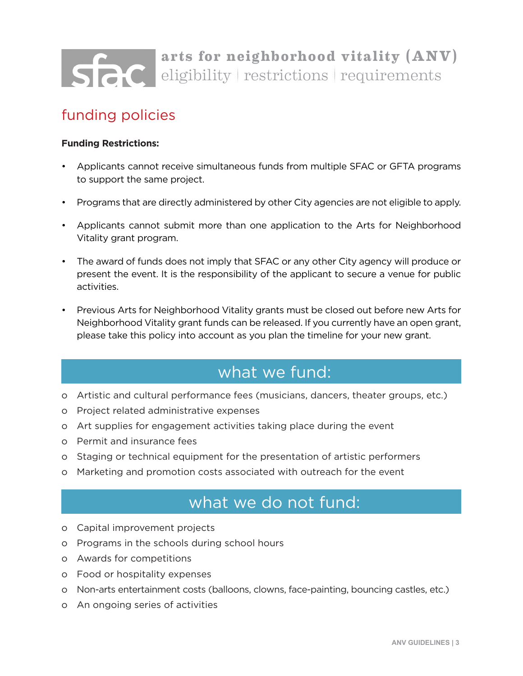# **arts for neighborhood vitality (ANV)** SPC eligibility restrictions requirements

## funding policies

## **Funding Restrictions:**

- Applicants cannot receive simultaneous funds from multiple SFAC or GFTA programs to support the same project.
- Programs that are directly administered by other City agencies are not eligible to apply.
- Applicants cannot submit more than one application to the Arts for Neighborhood Vitality grant program.
- The award of funds does not imply that SFAC or any other City agency will produce or present the event. It is the responsibility of the applicant to secure a venue for public activities.
- Previous Arts for Neighborhood Vitality grants must be closed out before new Arts for Neighborhood Vitality grant funds can be released. If you currently have an open grant, please take this policy into account as you plan the timeline for your new grant.

## what we fund:

- o Artistic and cultural performance fees (musicians, dancers, theater groups, etc.)
- o Project related administrative expenses
- o Art supplies for engagement activities taking place during the event
- o Permit and insurance fees
- o Staging or technical equipment for the presentation of artistic performers
- o Marketing and promotion costs associated with outreach for the event

## what we do not fund:

- o Capital improvement projects
- o Programs in the schools during school hours
- o Awards for competitions
- o Food or hospitality expenses
- o Non-arts entertainment costs (balloons, clowns, face-painting, bouncing castles, etc.)
- o An ongoing series of activities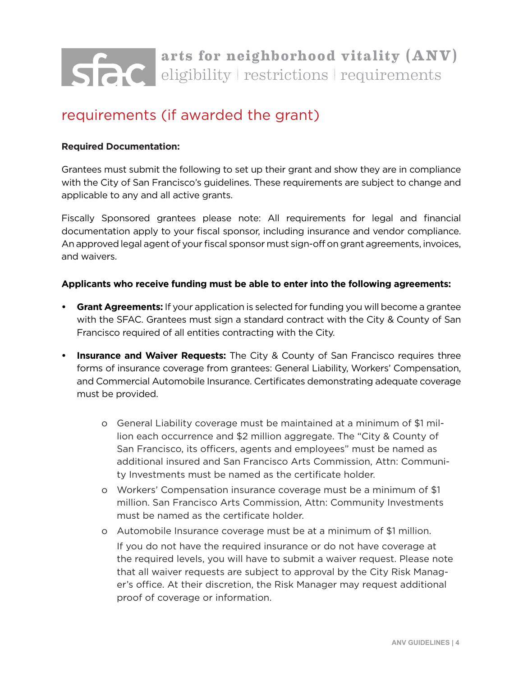# **arts for neighborhood vitality (ANV)** eligibility | restrictions | requirements

## requirements (if awarded the grant)

## **Required Documentation:**

Grantees must submit the following to set up their grant and show they are in compliance with the City of San Francisco's guidelines. These requirements are subject to change and applicable to any and all active grants.

Fiscally Sponsored grantees please note: All requirements for legal and financial documentation apply to your fiscal sponsor, including insurance and vendor compliance. An approved legal agent of your fiscal sponsor must sign-off on grant agreements, invoices, and waivers.

## **Applicants who receive funding must be able to enter into the following agreements:**

- **• Grant Agreements:** If your application is selected for funding you will become a grantee with the SFAC. Grantees must sign a standard contract with the City & County of San Francisco required of all entities contracting with the City.
- **• Insurance and Waiver Requests:** The City & County of San Francisco requires three forms of insurance coverage from grantees: General Liability, Workers' Compensation, and Commercial Automobile Insurance. Certificates demonstrating adequate coverage must be provided.
	- o General Liability coverage must be maintained at a minimum of \$1 million each occurrence and \$2 million aggregate. The "City & County of San Francisco, its officers, agents and employees" must be named as additional insured and San Francisco Arts Commission, Attn: Community Investments must be named as the certificate holder.
	- o Workers' Compensation insurance coverage must be a minimum of \$1 million. San Francisco Arts Commission, Attn: Community Investments must be named as the certificate holder.
	- o Automobile Insurance coverage must be at a minimum of \$1 million. If you do not have the required insurance or do not have coverage at the required levels, you will have to submit a waiver request. Please note that all waiver requests are subject to approval by the City Risk Manager's office. At their discretion, the Risk Manager may request additional proof of coverage or information.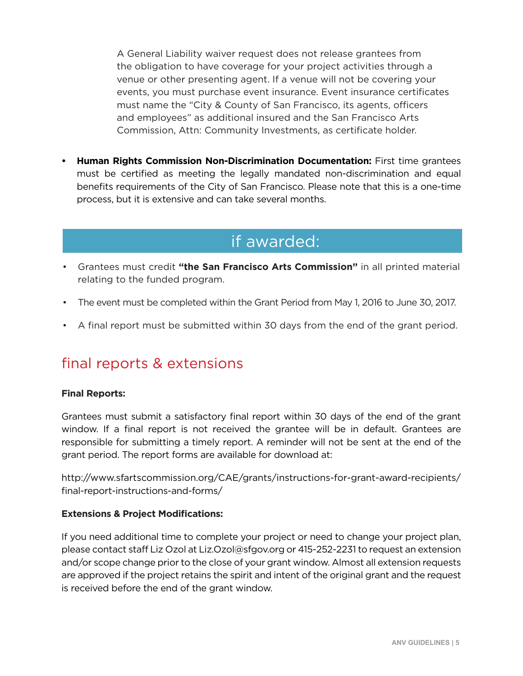A General Liability waiver request does not release grantees from the obligation to have coverage for your project activities through a venue or other presenting agent. If a venue will not be covering your events, you must purchase event insurance. Event insurance certificates must name the "City & County of San Francisco, its agents, officers and employees" as additional insured and the San Francisco Arts Commission, Attn: Community Investments, as certificate holder.

**• Human Rights Commission Non-Discrimination Documentation:** First time grantees must be certified as meeting the legally mandated non-discrimination and equal benefits requirements of the City of San Francisco. Please note that this is a one-time process, but it is extensive and can take several months.

## if awarded:

- Grantees must credit **"the San Francisco Arts Commission"** in all printed material relating to the funded program.
- The event must be completed within the Grant Period from May 1, 2016 to June 30, 2017.
- A final report must be submitted within 30 days from the end of the grant period.

## final reports & extensions

## **Final Reports:**

Grantees must submit a satisfactory final report within 30 days of the end of the grant window. If a final report is not received the grantee will be in default. Grantees are responsible for submitting a timely report. A reminder will not be sent at the end of the grant period. The report forms are available for download at:

http://www.sfartscommission.org/CAE/grants/instructions-for-grant-award-recipients/ final-report-instructions-and-forms/

## **Extensions & Project Modifications:**

If you need additional time to complete your project or need to change your project plan, please contact staff Liz Ozol at Liz.Ozol@sfgov.org or 415-252-2231 to request an extension and/or scope change prior to the close of your grant window. Almost all extension requests are approved if the project retains the spirit and intent of the original grant and the request is received before the end of the grant window.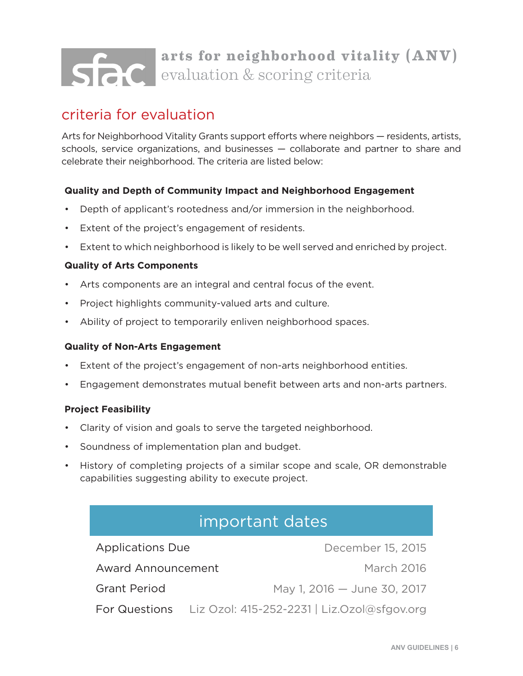# **arts for neighborhood vitality (ANV) SPC** evaluation & scoring criteria

## criteria for evaluation

Arts for Neighborhood Vitality Grants support efforts where neighbors — residents, artists, schools, service organizations, and businesses — collaborate and partner to share and celebrate their neighborhood. The criteria are listed below:

## **Quality and Depth of Community Impact and Neighborhood Engagement**

- Depth of applicant's rootedness and/or immersion in the neighborhood.
- Extent of the project's engagement of residents.
- Extent to which neighborhood is likely to be well served and enriched by project.

## **Quality of Arts Components**

- Arts components are an integral and central focus of the event.
- Project highlights community-valued arts and culture.
- Ability of project to temporarily enliven neighborhood spaces.

## **Quality of Non-Arts Engagement**

- Extent of the project's engagement of non-arts neighborhood entities.
- Engagement demonstrates mutual benefit between arts and non-arts partners.

## **Project Feasibility**

- Clarity of vision and goals to serve the targeted neighborhood.
- Soundness of implementation plan and budget.
- History of completing projects of a similar scope and scale, OR demonstrable capabilities suggesting ability to execute project.

## important dates

December 15, 2015 March 2016 May 1, 2016 — June 30, 2017 For Questions Liz Ozol: 415-252-2231 | Liz.Ozol@sfgov.org Applications Due Award Announcement Grant Period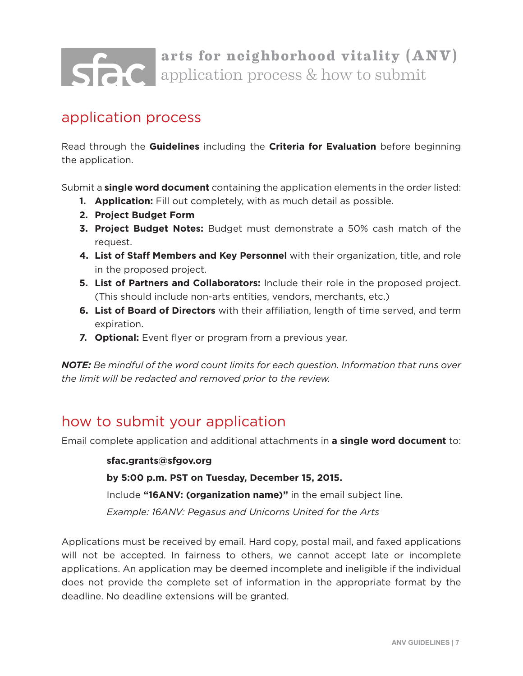# **arts for neighborhood vitality (ANV)** application process & how to submit

## application process

Read through the **Guidelines** including the **Criteria for Evaluation** before beginning the application.

Submit a **single word document** containing the application elements in the order listed:

- **1. Application:** Fill out completely, with as much detail as possible.
- **2. Project Budget Form**
- **3. Project Budget Notes:** Budget must demonstrate a 50% cash match of the request.
- **4. List of Staff Members and Key Personnel** with their organization, title, and role in the proposed project.
- **5. List of Partners and Collaborators:** Include their role in the proposed project. (This should include non-arts entities, vendors, merchants, etc.)
- **6. List of Board of Directors** with their affiliation, length of time served, and term expiration.
- **7. Optional:** Event flyer or program from a previous year.

*NOTE: Be mindful of the word count limits for each question. Information that runs over the limit will be redacted and removed prior to the review.*

## how to submit your application

Email complete application and additional attachments in **a single word document** to:

**sfac.grants@sfgov.org**

**by 5:00 p.m. PST on Tuesday, December 15, 2015.** 

Include **"16ANV: (organization name)"** in the email subject line.

*Example: 16ANV: Pegasus and Unicorns United for the Arts*

Applications must be received by email. Hard copy, postal mail, and faxed applications will not be accepted. In fairness to others, we cannot accept late or incomplete applications. An application may be deemed incomplete and ineligible if the individual does not provide the complete set of information in the appropriate format by the deadline. No deadline extensions will be granted.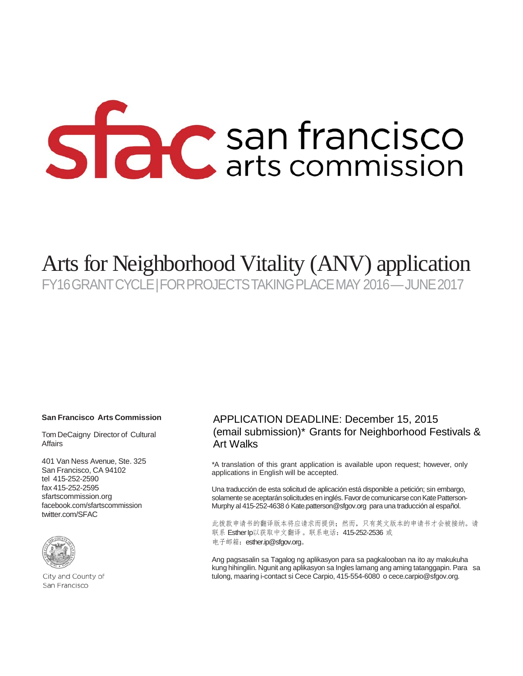# Side San francisco

# Arts for Neighborhood Vitality (ANV) application

FY16 GRANT CYCLE | FOR PROJECTS TAKING PLACE MAY 2016 — JUNE 2017

#### **San Francisco Arts Commission**

Tom DeCaigny Director of Cultural **Affairs** 

401 Van Ness Avenue, Ste. 325 San Francisco, CA 94102 tel 415-252-2590 fax 415-252-2595 sfartscommission.org facebook.com/sfartscommission twitter.com/SFAC



City and County of San Francisco

## APPLICATION DEADLINE: December 15, 2015 (email submission)\* Grants for Neighborhood Festivals & Art Walks

\*A translation of this grant application is available upon request; however, only applications in English will be accepted.

Una traducción de esta solicitud de aplicación está disponible a petición; sin embargo, solamente se aceptarán solicitudes en inglés. Favor de comunicarse con Kate Patterson-Murphy al 415-252-4638 ó [Kate.patterson@sfgov.org](mailto:Kate.patterson@sfgov.org) para una traducción al español.

此拨款申请书的翻译版本将应请求而提供;然而,只有英文版本的申请书才会被接纳。请 联系 Esther lp以获取中文翻译。联系电话: 415-252-2536 或 电子邮箱: [esther.ip@sfgov.org](mailto:esther.ip@sfgov.org)。

Ang pagsasalin sa Tagalog ng aplikasyon para sa pagkalooban na ito ay makukuha kung hihingilin. Ngunit ang aplikasyon sa Ingles lamang ang aming tatanggapin. Para sa tulong, maaring i-contact si Cece Carpio, 415-554-6080 o [cece.carpio@sfgov.org.](mailto:cece.carpio@sfgov.org)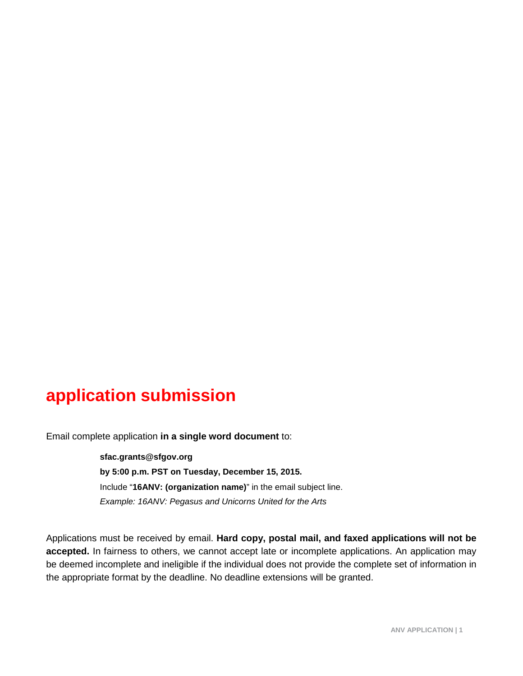# **application submission**

Email complete application **in a single word document** to:

**sfac.grants@sfgov.org by 5:00 p.m. PST on Tuesday, December 15, 2015.**  Include "**16ANV: (organization name)**" in the email subject line. *Example: 16ANV: Pegasus and Unicorns United for the Arts*

Applications must be received by email. **Hard copy, postal mail, and faxed applications will not be**  accepted. In fairness to others, we cannot accept late or incomplete applications. An application may be deemed incomplete and ineligible if the individual does not provide the complete set of information in the appropriate format by the deadline. No deadline extensions will be granted.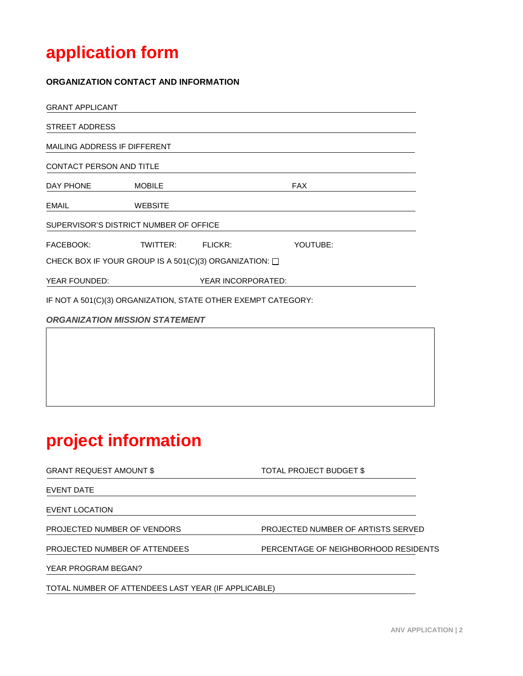# **application form**

#### **ORGANIZATION CONTACT AND INFORMATION**

| MAILING ADDRESS IF DIFFERENT                                  |  |                                                                                                     |                    |  |
|---------------------------------------------------------------|--|-----------------------------------------------------------------------------------------------------|--------------------|--|
| <b>CONTACT PERSON AND TITLE</b>                               |  |                                                                                                     |                    |  |
| <b>MOBILE</b>                                                 |  | <b>FAX</b>                                                                                          |                    |  |
| <b>WEBSITE</b>                                                |  |                                                                                                     |                    |  |
|                                                               |  |                                                                                                     |                    |  |
|                                                               |  | YOUTUBE:                                                                                            |                    |  |
| CHECK BOX IF YOUR GROUP IS A 501(C)(3) ORGANIZATION: $\Box$   |  |                                                                                                     |                    |  |
|                                                               |  |                                                                                                     |                    |  |
| IF NOT A 501(C)(3) ORGANIZATION, STATE OTHER EXEMPT CATEGORY: |  |                                                                                                     |                    |  |
|                                                               |  |                                                                                                     |                    |  |
|                                                               |  |                                                                                                     |                    |  |
|                                                               |  | SUPERVISOR'S DISTRICT NUMBER OF OFFICE<br>TWITTER: FLICKR:<br><b>ORGANIZATION MISSION STATEMENT</b> | YEAR INCORPORATED: |  |

# **project information**

| <b>GRANT REQUEST AMOUNT \$</b>                      | TOTAL PROJECT BUDGET \$              |
|-----------------------------------------------------|--------------------------------------|
| EVENT DATE                                          |                                      |
| EVENT LOCATION                                      |                                      |
| PROJECTED NUMBER OF VENDORS                         | PROJECTED NUMBER OF ARTISTS SERVED   |
| PROJECTED NUMBER OF ATTENDEES                       | PERCENTAGE OF NEIGHBORHOOD RESIDENTS |
| YEAR PROGRAM BEGAN?                                 |                                      |
| TOTAL NUMBER OF ATTENDEES LAST YEAR (IF APPLICABLE) |                                      |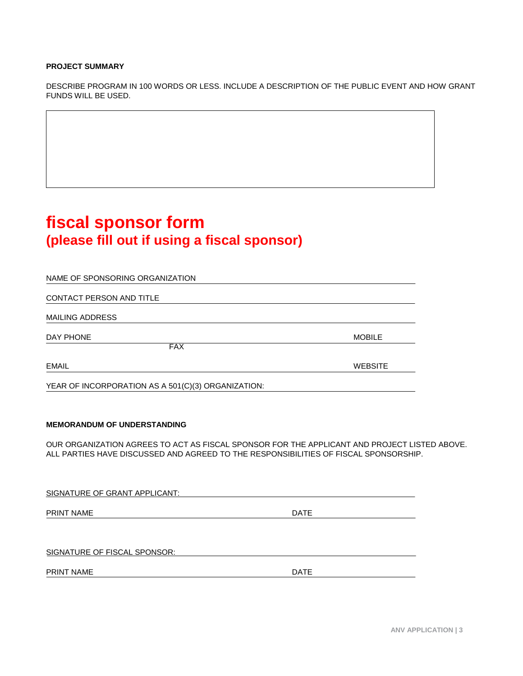#### **PROJECT SUMMARY**

DESCRIBE PROGRAM IN 100 WORDS OR LESS. INCLUDE A DESCRIPTION OF THE PUBLIC EVENT AND HOW GRANT FUNDS WILL BE USED.

# **fiscal sponsor form (please fill out if using a fiscal sponsor)**

| NAME OF SPONSORING ORGANIZATION                    |                |
|----------------------------------------------------|----------------|
|                                                    |                |
| CONTACT PERSON AND TITLE                           |                |
| <b>MAILING ADDRESS</b>                             |                |
| DAY PHONE                                          | <b>MOBILE</b>  |
| <b>FAX</b>                                         |                |
| <b>EMAIL</b>                                       | <b>WEBSITE</b> |
| YEAR OF INCORPORATION AS A 501(C)(3) ORGANIZATION: |                |

#### **MEMORANDUM OF UNDERSTANDING**

OUR ORGANIZATION AGREES TO ACT AS FISCAL SPONSOR FOR THE APPLICANT AND PROJECT LISTED ABOVE. ALL PARTIES HAVE DISCUSSED AND AGREED TO THE RESPONSIBILITIES OF FISCAL SPONSORSHIP.

SIGNATURE OF GRANT APPLICANT:

PRINT NAME DATE

SIGNATURE OF FISCAL SPONSOR:

PRINT NAME DATE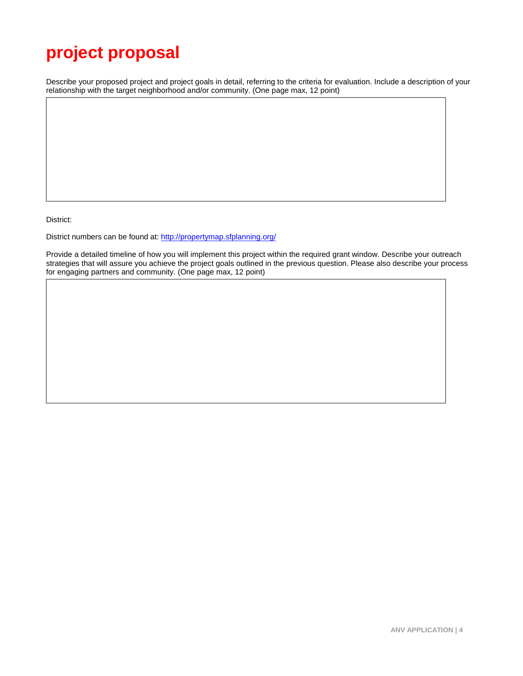# **project proposal**

Describe your proposed project and project goals in detail, referring to the criteria for evaluation. Include a description of your relationship with the target neighborhood and/or community. (One page max, 12 point)

District:

District numbers can be found at[: http://propertymap.sfplanning.org/](http://propertymap.sfplanning.org/)

Provide a detailed timeline of how you will implement this project within the required grant window. Describe your outreach strategies that will assure you achieve the project goals outlined in the previous question. Please also describe your process for engaging partners and community. (One page max, 12 point)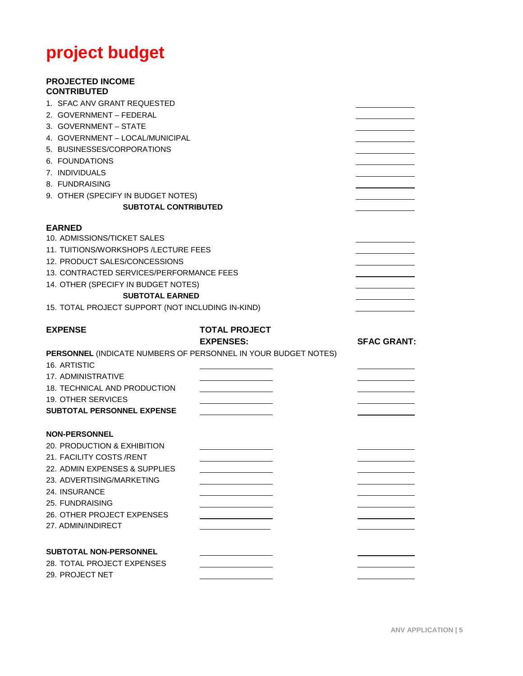# **project budget**

#### **PROJECTED INCOME CONTRIBUTED**

| 1. SFAC ANV GRANT REQUESTED                                                                                                           |                                                                |                    |
|---------------------------------------------------------------------------------------------------------------------------------------|----------------------------------------------------------------|--------------------|
| 2. GOVERNMENT - FEDERAL                                                                                                               |                                                                |                    |
| 3. GOVERNMENT - STATE                                                                                                                 |                                                                |                    |
| 4. GOVERNMENT - LOCAL/MUNICIPAL                                                                                                       |                                                                |                    |
| 5. BUSINESSES/CORPORATIONS                                                                                                            |                                                                |                    |
| 6. FOUNDATIONS                                                                                                                        |                                                                |                    |
| 7. INDIVIDUALS                                                                                                                        |                                                                |                    |
| 8. FUNDRAISING                                                                                                                        |                                                                |                    |
| 9. OTHER (SPECIFY IN BUDGET NOTES)                                                                                                    |                                                                |                    |
| <b>SUBTOTAL CONTRIBUTED</b>                                                                                                           |                                                                |                    |
|                                                                                                                                       |                                                                |                    |
| <b>EARNED</b><br>10. ADMISSIONS/TICKET SALES                                                                                          |                                                                |                    |
| 11. TUITIONS/WORKSHOPS /LECTURE FEES                                                                                                  |                                                                |                    |
| 12. PRODUCT SALES/CONCESSIONS                                                                                                         |                                                                |                    |
| 13. CONTRACTED SERVICES/PERFORMANCE FEES                                                                                              |                                                                |                    |
| 14. OTHER (SPECIFY IN BUDGET NOTES)                                                                                                   |                                                                |                    |
| <b>SUBTOTAL EARNED</b>                                                                                                                |                                                                |                    |
| 15. TOTAL PROJECT SUPPORT (NOT INCLUDING IN-KIND)                                                                                     |                                                                |                    |
| <b>EXPENSE</b>                                                                                                                        | <b>TOTAL PROJECT</b><br><b>EXPENSES:</b>                       | <b>SFAC GRANT:</b> |
|                                                                                                                                       |                                                                |                    |
|                                                                                                                                       | PERSONNEL (INDICATE NUMBERS OF PERSONNEL IN YOUR BUDGET NOTES) |                    |
| 16. ARTISTIC                                                                                                                          |                                                                |                    |
|                                                                                                                                       |                                                                |                    |
|                                                                                                                                       |                                                                |                    |
|                                                                                                                                       |                                                                |                    |
|                                                                                                                                       |                                                                |                    |
| 17. ADMINISTRATIVE<br>18. TECHNICAL AND PRODUCTION<br>19. OTHER SERVICES<br><b>SUBTOTAL PERSONNEL EXPENSE</b><br><b>NON-PERSONNEL</b> |                                                                |                    |
|                                                                                                                                       |                                                                |                    |
|                                                                                                                                       |                                                                |                    |
| 20. PRODUCTION & EXHIBITION<br>21. FACILITY COSTS /RENT<br>22. ADMIN EXPENSES & SUPPLIES                                              |                                                                |                    |
|                                                                                                                                       |                                                                |                    |
|                                                                                                                                       |                                                                |                    |
|                                                                                                                                       |                                                                |                    |
|                                                                                                                                       |                                                                |                    |
| 23. ADVERTISING/MARKETING<br>24. INSURANCE<br>25. FUNDRAISING<br>26. OTHER PROJECT EXPENSES<br>27. ADMIN/INDIRECT                     |                                                                |                    |
| <b>SUBTOTAL NON-PERSONNEL</b>                                                                                                         |                                                                |                    |
| 28. TOTAL PROJECT EXPENSES                                                                                                            |                                                                |                    |
| 29. PROJECT NET                                                                                                                       |                                                                |                    |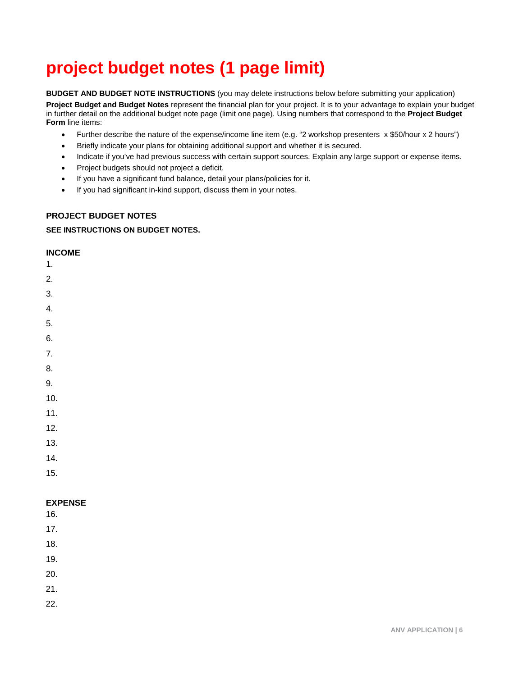# **project budget notes (1 page limit)**

**BUDGET AND BUDGET NOTE INSTRUCTIONS** (you may delete instructions below before submitting your application)

**Project Budget and Budget Notes** represent the financial plan for your project. It is to your advantage to explain your budget in further detail on the additional budget note page (limit one page). Using numbers that correspond to the **Project Budget Form** line items:

- Further describe the nature of the expense/income line item (e.g. "2 workshop presenters x \$50/hour x 2 hours")
- Briefly indicate your plans for obtaining additional support and whether it is secured.
- Indicate if you've had previous success with certain support sources. Explain any large support or expense items.
- Project budgets should not project a deficit.
- If you have a significant fund balance, detail your plans/policies for it.
- If you had significant in-kind support, discuss them in your notes.

#### **PROJECT BUDGET NOTES**

#### **SEE INSTRUCTIONS ON BUDGET NOTES.**

#### **INCOME**

- 1.
- 2.
- 3.
- 4.
- 
- 5.
- 6.
- 7.
- 8.
- 9.
- 10.
- 11.
- 12.
- 13.
- 14.
- 
- 15.

#### **EXPENSE**

- 16.
- 17.
- 18.
- 19.
- 20.
- 21.
- 22.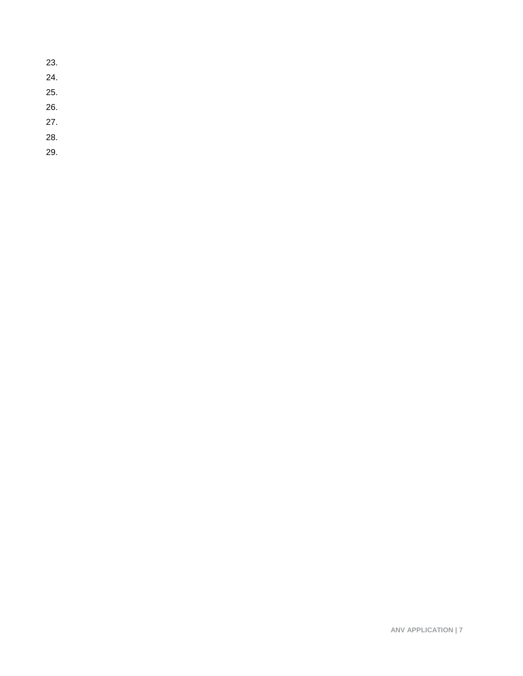**ANV APPLICATION | 7**

- 23. 24. 25.
- 26.
- 27.
- 
- 28.
- 29.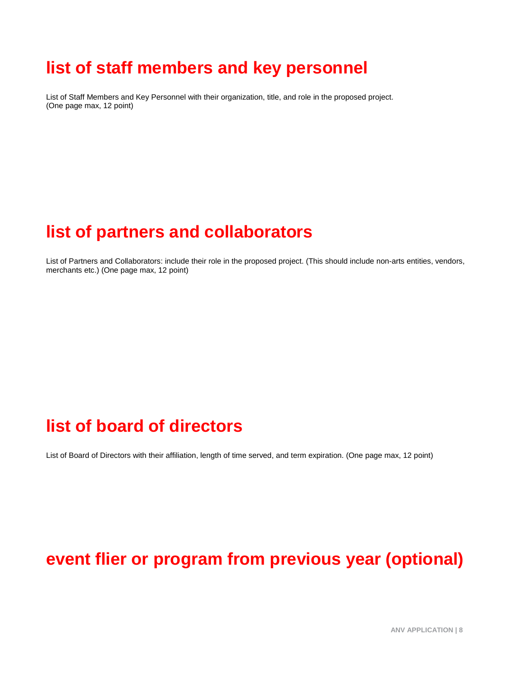# **list of staff members and key personnel**

List of Staff Members and Key Personnel with their organization, title, and role in the proposed project. (One page max, 12 point)

# **list of partners and collaborators**

List of Partners and Collaborators: include their role in the proposed project. (This should include non-arts entities, vendors, merchants etc.) (One page max, 12 point)

# **list of board of directors**

List of Board of Directors with their affiliation, length of time served, and term expiration. (One page max, 12 point)

# **event flier or program from previous year (optional)**